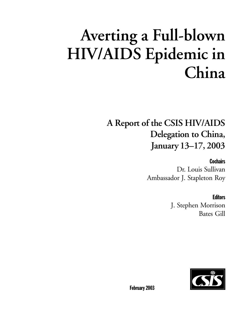# **Averting a Full-blown HIV/AIDS Epidemic in China**

# **A Report of the CSIS HIV/AIDS Delegation to China, January 13–17, 2003**

**Cochairs** 

Dr. Louis Sullivan Ambassador J. Stapleton Roy

# **Editors**

J. Stephen Morrison Bates Gill



February 2003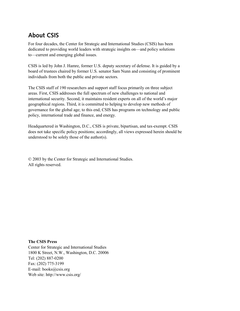# **About CSIS**

For four decades, the Center for Strategic and International Studies (CSIS) has been dedicated to providing world leaders with strategic insights on—and policy solutions to—current and emerging global issues.

CSIS is led by John J. Hamre, former U.S. deputy secretary of defense. It is guided by a board of trustees chaired by former U.S. senator Sam Nunn and consisting of prominent individuals from both the public and private sectors.

The CSIS staff of 190 researchers and support staff focus primarily on three subject areas. First, CSIS addresses the full spectrum of new challenges to national and international security. Second, it maintains resident experts on all of the world's major geographical regions. Third, it is committed to helping to develop new methods of governance for the global age; to this end, CSIS has programs on technology and public policy, international trade and finance, and energy.

Headquartered in Washington, D.C., CSIS is private, bipartisan, and tax-exempt. CSIS does not take specific policy positions; accordingly, all views expressed herein should be understood to be solely those of the author(s).

© 2003 by the Center for Strategic and International Studies. All rights reserved.

**The CSIS Press** Center for Strategic and International Studies 1800 K Street, N.W., Washington, D.C. 20006 Tel: (202) 887-0200 Fax: (202) 775-3199 E-mail: books@csis.org Web site: http://www.csis.org/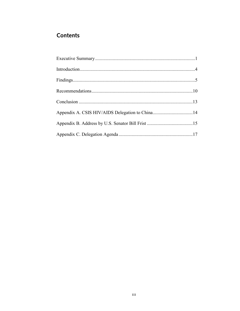# **Contents**

| Appendix A. CSIS HIV/AIDS Delegation to China14 |  |
|-------------------------------------------------|--|
|                                                 |  |
|                                                 |  |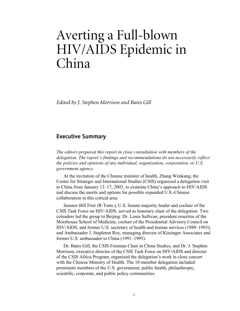# Averting a Full-blown HIV/AIDS Epidemic in China

*Edited by J. Stephen Morrison and Bates Gill* 

# **Executive Summary**

*The editors prepared this report in close consultation with members of the delegation. The report's findings and recommendations do not necessarily reflect the policies and opinions of any individual, organization, corporation, or U.S. government agency.* 

At the invitation of the Chinese minister of health, Zhang Wenkang, the Center for Strategic and International Studies (CSIS) organized a delegation visit to China from January 13–17, 2003, to examine China's approach to HIV/AIDS and discuss the merits and options for possible expanded U.S.-Chinese collaboration in this critical area.

Senator Bill Frist (R-Tenn.), U.S. Senate majority leader and cochair of the CSIS Task Force on HIV/AIDS, served as honorary chair of the delegation. Two coleaders led the group to Beijing: Dr. Louis Sullivan, president emeritus of the Morehouse School of Medicine, cochair of the Presidential Advisory Council on HIV/AIDS, and former U.S. secretary of health and human services (1989–1993); and Ambassador J. Stapleton Roy, managing director of Kissinger Associates and former U.S. ambassador to China (1991–1995).

Dr. Bates Gill, the CSIS Freeman Chair in China Studies, and Dr. J. Stephen Morrison, executive director of the CSIS Task Force on HIV/AIDS and director of the CSIS Africa Program, organized the delegation's work in close concert with the Chinese Ministry of Health. The 18-member delegation included prominent members of the U.S. government, public health, philanthropic, scientific, corporate, and public policy communities.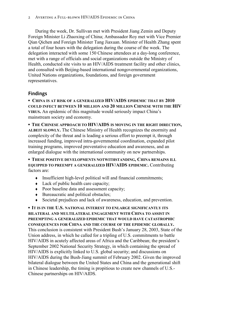During the week, Dr. Sullivan met with President Jiang Zemin and Deputy Foreign Minister Li Zhaoxing of China; Ambassador Roy met with Vice Premier Qian Qichen and Foreign Minister Tang Jiaxuan. Minister of Health Zhang spent a total of four hours with the delegation during the course of the week. The delegation interacted with some 150 Chinese attendees at a day-long conference, met with a range of officials and social organizations outside the Ministry of Health, conducted site visits to an HIV/AIDS treatment facility and other clinics, and consulted with Beijing-based international nongovernmental organizations, United Nations organizations, foundations, and foreign government representatives.

# **Findings**

**▪ CHINA IS AT RISK OF A GENERALIZED HIV/AIDS EPIDEMIC THAT BY 2010 COULD INFECT BETWEEN 10 MILLION AND 20 MILLION CHINESE WITH THE HIV VIRUS.** An epidemic of this magnitude would seriously impact China's mainstream society and economy.

**▪ THE CHINESE APPROACH TO HIV/AIDS IS MOVING IN THE RIGHT DIRECTION, ALBEIT SLOWLY.** The Chinese Ministry of Health recognizes the enormity and complexity of the threat and is leading a serious effort to preempt it, through increased funding, improved intra-governmental coordination, expanded pilot training programs, improved preventative education and awareness, and an enlarged dialogue with the international community on new partnerships.

**▪ THESE POSITIVE DEVELOPMENTS NOTWITHSTANDING, CHINA REMAINS ILL EQUIPPED TO PREEMPT A GENERALIZED HIV/AIDS EPIDEMIC.** Contributing factors are:

- $\bullet$  Insufficient high-level political will and financial commitments;
- Lack of public health care capacity;
- Poor baseline data and assessment capacity;
- $\triangleleft$  Bureaucratic and political obstacles;
- Societal prejudices and lack of awareness, education, and prevention.

**▪ IT IS IN THE U.S. NATIONAL INTEREST TO ENLARGE SIGNIFICANTLY ITS BILATERAL AND MULTILATERAL ENGAGEMENT WITH CHINA TO ASSIST IN PREEMPTING A GENERALIZED EPIDEMIC THAT WOULD HAVE CATASTROPHIC CONSEQUENCES FOR CHINA AND THE COURSE OF THE EPIDEMIC GLOBALLY.** This conclusion is consistent with President Bush's January 28, 2003, State of the Union address, in which he called for a tripling of U.S. commitments to battle HIV/AIDS in acutely affected areas of Africa and the Caribbean; the president's September 2002 National Security Strategy, in which containing the spread of HIV/AIDS is explicitly linked to U.S. global security; and discussions on HIV/AIDS during the Bush-Jiang summit of February 2002. Given the improved bilateral dialogue between the United States and China and the generational shift in Chinese leadership, the timing is propitious to create new channels of U.S.- Chinese partnerships on HIV/AIDS.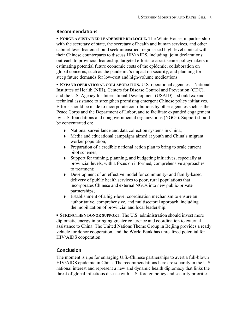# **Recommendations**

**▪ FORGE A SUSTAINED LEADERSHIP DIALOGUE.** The White House, in partnership with the secretary of state, the secretary of health and human services, and other cabinet-level leaders should seek intensified, regularized high-level contact with their Chinese counterparts to discuss HIV/AIDS, including: joint declarations; outreach to provincial leadership; targeted efforts to assist senior policymakers in estimating potential future economic costs of the epidemic; collaboration on global concerns, such as the pandemic's impact on security; and planning for steep future demands for low-cost and high-volume medications.

**• EXPAND OPERATIONAL COLLABORATION.** U.S. operational agencies—National Institutes of Health (NIH), Centers for Disease Control and Prevention (CDC), and the U.S. Agency for International Development (USAID)—should expand technical assistance to strengthen promising emergent Chinese policy initiatives. Efforts should be made to incorporate contributions by other agencies such as the Peace Corps and the Department of Labor, and to facilitate expanded engagement by U.S. foundations and nongovernmental organizations (NGOs). Support should be concentrated on:

- National surveillance and data collection systems in China;
- Media and educational campaigns aimed at youth and China's migrant worker population;
- Preparation of a credible national action plan to bring to scale current pilot schemes;
- Support for training, planning, and budgeting initiatives, especially at provincial levels, with a focus on informed, comprehensive approaches to treatment;
- Development of an effective model for community- and family-based delivery of public health services to poor, rural populations that incorporates Chinese and external NGOs into new public-private partnerships;
- Establishment of a high-level coordination mechanism to ensure an authoritative, comprehensive, and multisectoral approach, including the mobilization of provincial and local leadership.

**• STRENGTHEN DONOR SUPPORT.** The U.S. administration should invest more diplomatic energy in bringing greater coherence and coordination to external assistance to China. The United Nations Theme Group in Beijing provides a ready vehicle for donor cooperation, and the World Bank has unrealized potential for HIV/AIDS cooperation.

# **Conclusion**

The moment is ripe for enlarging U.S.-Chinese partnerships to avert a full-blown HIV/AIDS epidemic in China. The recommendations here are squarely in the U.S. national interest and represent a new and dynamic health diplomacy that links the threat of global infectious disease with U.S. foreign policy and security priorities.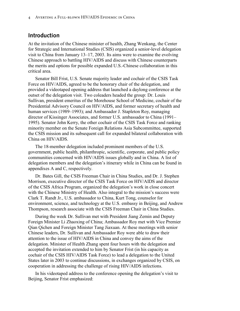### **Introduction**

At the invitation of the Chinese minister of health, Zhang Wenkang, the Center for Strategic and International Studies (CSIS) organized a senior-level delegation visit to China from January 13–17, 2003. Its aims were to examine the evolving Chinese approach to battling HIV/AIDS and discuss with Chinese counterparts the merits and options for possible expanded U.S.-Chinese collaboration in this critical area.

Senator Bill Frist, U.S. Senate majority leader and cochair of the CSIS Task Force on HIV/AIDS, agreed to be the honorary chair of the delegation, and provided a videotaped opening address that launched a daylong conference at the outset of the delegation visit. Two coleaders headed the group: Dr. Louis Sullivan, president emeritus of the Morehouse School of Medicine, cochair of the Presidential Advisory Council on HIV/AIDS, and former secretary of health and human services (1989–1993); and Ambassador J. Stapleton Roy, managing director of Kissinger Associates, and former U.S. ambassador to China (1991– 1995). Senator John Kerry, the other cochair of the CSIS Task Force and ranking minority member on the Senate Foreign Relations Asia Subcommittee, supported the CSIS mission and its subsequent call for expanded bilateral collaboration with China on HIV/AIDS.

The 18-member delegation included prominent members of the U.S. government, public health, philanthropic, scientific, corporate, and public policy communities concerned with HIV/AIDS issues globally and in China. A list of delegation members and the delegation's itinerary while in China can be found in appendixes A and C, respectively.

Dr. Bates Gill, the CSIS Freeman Chair in China Studies, and Dr. J. Stephen Morrison, executive director of the CSIS Task Force on HIV/AIDS and director of the CSIS Africa Program, organized the delegation's work in close concert with the Chinese Ministry of Health. Also integral to the mission's success were Clark T. Randt Jr., U.S. ambassador to China, Kurt Tong, counselor for environment, science, and technology at the U.S. embassy in Beijing, and Andrew Thompson, research associate with the CSIS Freeman Chair in China Studies.

During the week Dr. Sullivan met with President Jiang Zemin and Deputy Foreign Minister Li Zhaoxing of China; Ambassador Roy met with Vice Premier Qian Qichen and Foreign Minister Tang Jiaxuan. At these meetings with senior Chinese leaders, Dr. Sullivan and Ambassador Roy were able to draw their attention to the issue of HIV/AIDS in China and convey the aims of the delegation. Minister of Health Zhang spent four hours with the delegation and accepted the invitation extended to him by Senator Frist (in his capacity as cochair of the CSIS HIV/AIDS Task Force) to lead a delegation to the United States later in 2003 to continue discussions, in exchanges organized by CSIS, on cooperation in addressing the challenge of rising HIV/AIDS infections.

In his videotaped address to the conference opening the delegation's visit to Beijing, Senator Frist emphasized: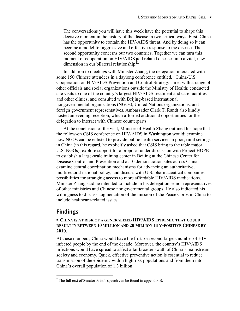The conversations you will have this week have the potential to shape this decisive moment in the history of the disease in two critical ways. First, China has the opportunity to contain the HIV/AIDS threat. And by doing so it can become a model for aggressive and effective response to the disease. The second opportunity concerns our two countries. Together we can turn this moment of cooperation on HIV/AIDS and related diseases into a vital, new dimension in our bilateral relationship.<sup>\*</sup>

In addition to meetings with Minister Zhang, the delegation interacted with some 150 Chinese attendees in a daylong conference entitled, "China-U.S. Cooperation on HIV/AIDS Prevention and Control Strategy"; met with a range of other officials and social organizations outside the Ministry of Health; conducted site visits to one of the country's largest HIV/AIDS treatment and care facilities and other clinics; and consulted with Beijing-based international nongovernmental organizations (NGOs), United Nations organizations, and foreign government representatives. Ambassador Clark T. Randt also kindly hosted an evening reception, which afforded additional opportunities for the delegation to interact with Chinese counterparts.

At the conclusion of the visit, Minister of Health Zhang outlined his hope that the follow-on CSIS conference on HIV/AIDS in Washington would: examine how NGOs can be enlisted to provide public health services in poor, rural settings in China (in this regard, he explicitly asked that CSIS bring to the table major U.S. NGOs); explore support for a proposal under discussion with Project HOPE to establish a large-scale training center in Beijing at the Chinese Center for Disease Control and Prevention and at 10 demonstration sites across China; examine central coordination mechanisms for advancing an authoritative, multisectoral national policy; and discuss with U.S. pharmaceutical companies possibilities for arranging access to more affordable HIV/AIDS medications. Minister Zhang said he intended to include in his delegation senior representatives of other ministries and Chinese nongovernmental groups. He also indicated his willingness to discuss augmentation of the mission of the Peace Corps in China to include healthcare-related issues.

# **Findings**

I

#### **▪ CHINA IS AT RISK OF A GENERALIZED HIV/AIDS EPIDEMIC THAT COULD RESULT IN BETWEEN 10 MILLION AND 20 MILLION HIV-POSITIVE CHINESE BY 2010.**

At these numbers, China would have the first- or second-largest number of HIVinfected people by the end of the decade. Moreover, the country's HIV/AIDS infections would have spread to affect a far broader swath of China's mainstream society and economy. Quick, effective preventive action is essential to reduce transmission of the epidemic within high-risk populations and from them into China's overall population of 1.3 billion.

<sup>\*</sup> The full text of Senator Frist's speech can be found in appendix B.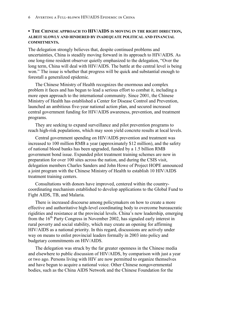#### **▪ THE CHINESE APPROACH TO HIV/AIDS IS MOVING IN THE RIGHT DIRECTION, ALBEIT SLOWLY AND HINDERED BY INADEQUATE POLITICAL AND FINANCIAL COMMITMENTS.**

The delegation strongly believes that, despite continued problems and uncertainties, China is steadily moving forward in its approach to HIV/AIDS. As one long-time resident observer quietly emphasized to the delegation, "Over the long term, China will deal with HIV/AIDS. The battle at the central level is being won." The issue is whether that progress will be quick and substantial enough to forestall a generalized epidemic.

The Chinese Ministry of Health recognizes the enormous and complex problem it faces and has begun to lead a serious effort to combat it, including a more open approach to the international community. Since 2001, the Chinese Ministry of Health has established a Center for Disease Control and Prevention, launched an ambitious five-year national action plan, and secured increased central government funding for HIV/AIDS awareness, prevention, and treatment programs.

They are seeking to expand surveillance and pilot prevention programs to reach high-risk populations, which may soon yield concrete results at local levels.

Central government spending on HIV/AIDS prevention and treatment was increased to 100 million RMB a year (approximately \$12 million), and the safety of national blood banks has been upgraded, funded by a 1.5 billion RMB government bond issue. Expanded pilot treatment training schemes are now in preparation for over 100 sites across the nation, and during the CSIS visit, delegation members Charles Sanders and John Howe of Project HOPE announced a joint program with the Chinese Ministry of Health to establish 10 HIV/AIDS treatment training centers.

Consultations with donors have improved, centered within the countrycoordinating mechanism established to develop applications to the Global Fund to Fight AIDS, TB, and Malaria.

There is increased discourse among policymakers on how to create a more effective and authoritative high-level coordinating body to overcome bureaucratic rigidities and resistance at the provincial levels. China's new leadership, emerging from the  $16<sup>th</sup>$  Party Congress in November 2002, has signaled early interest in rural poverty and social stability, which may create an opening for affirming HIV/AIDS as a national priority. In this regard, discussions are actively under way on means to enlist provincial leaders formally in 2003 into policy and budgetary commitments on HIV/AIDS.

The delegation was struck by the far greater openness in the Chinese media and elsewhere to public discussion of HIV/AIDS, by comparison with just a year or two ago. Persons living with HIV are now permitted to organize themselves and have begun to acquire a national voice. Other Chinese nongovernmental bodies, such as the China AIDS Network and the Chinese Foundation for the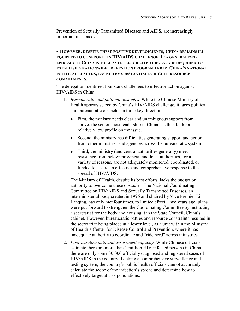Prevention of Sexually Transmitted Diseases and AIDS, are increasingly important influences.

**▪ HOWEVER, DESPITE THESE POSITIVE DEVELOPMENTS, CHINA REMAINS ILL EQUIPPED TO CONFRONT ITS HIV/AIDS CHALLENGE. IF A GENERALIZED EPIDEMIC IN CHINA IS TO BE AVERTED, GREATER URGENCY IS REQUIRED TO ESTABLISH A NATIONWIDE PREVENTION PROGRAM LED BY CHINA'S NATIONAL POLITICAL LEADERS, BACKED BY SUBSTANTIALLY HIGHER RESOURCE COMMITMENTS.** 

The delegation identified four stark challenges to effective action against HIV/AIDS in China.

- 1. *Bureaucratic and political obstacles.* While the Chinese Ministry of Health appears seized by China's HIV/AIDS challenge, it faces political and bureaucratic obstacles in three key directions.
	- First, the ministry needs clear and unambiguous support from above: the senior-most leadership in China has thus far kept a relatively low profile on the issue.
	- Second, the ministry has difficulties generating support and action from other ministries and agencies across the bureaucratic system.
	- $\bullet$  Third, the ministry (and central authorities generally) meet resistance from below: provincial and local authorities, for a variety of reasons, are not adequately monitored, coordinated, or funded to assure an effective and comprehensive response to the spread of HIV/AIDS.

The Ministry of Health, despite its best efforts, lacks the budget or authority to overcome these obstacles. The National Coordinating Committee on HIV/AIDS and Sexually Transmitted Diseases, an interministerial body created in 1996 and chaired by Vice Premier Li Lanqing, has only met four times, to limited effect. Two years ago, plans were put forward to strengthen the Coordinating Committee by instituting a secretariat for the body and housing it in the State Council, China's cabinet. However, bureaucratic battles and resource constraints resulted in the secretariat being placed at a lower level, as a unit within the Ministry of Health's Center for Disease Control and Prevention, where it has inadequate authority to coordinate and "ride herd" across ministries.

2. *Poor baseline data and assessment capacity.* While Chinese officials estimate there are more than 1 million HIV-infected persons in China, there are only some 30,000 officially diagnosed and registered cases of HIV/AIDS in the country. Lacking a comprehensive surveillance and testing system, the country's public health officials cannot accurately calculate the scope of the infection's spread and determine how to effectively target at-risk populations.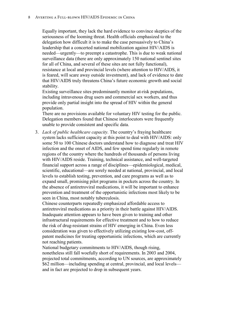#### 8 Averting a Full-blown HIV/AIDS Epidemic in China

Equally important, they lack the hard evidence to convince skeptics of the seriousness of the looming threat. Health officials emphasized to the delegation how difficult it is to make the case persuasively to China's leadership that a concerted national mobilization against HIV/AIDS is needed—urgently—to preempt a catastrophe. This is due to weak national surveillance data (there are only approximately 150 national sentinel sites for all of China, and several of these sites are not fully functional), resistance at local and provincial levels (where attention to HIV/AIDS, it is feared, will scare away outside investment), and lack of evidence to date that HIV/AIDS truly threatens China's future economic growth and social stability.

Existing surveillance sites predominantly monitor at-risk populations, including intravenous drug users and commercial sex workers, and thus provide only partial insight into the spread of HIV within the general population.

There are no provisions available for voluntary HIV testing for the public. Delegation members found that Chinese interlocutors were frequently unable to provide consistent and specific data.

3. *Lack of public healthcare capacity.* The country's fraying healthcare system lacks sufficient capacity at this point to deal with HIV/AIDS: only some 50 to 100 Chinese doctors understand how to diagnose and treat HIV infection and the onset of AIDS, and few spend time regularly in remote regions of the country where the hundreds of thousands of persons living with HIV/AIDS reside. Training, technical assistance, and well-targeted financial support across a range of disciplines—epidemiological, medical, scientific, educational—are sorely needed at national, provincial, and local levels to establish testing, prevention, and care programs as well as to expand small, promising pilot programs in pockets across the country. In the absence of antiretroviral medications, it will be important to enhance prevention and treatment of the opportunistic infections most likely to be seen in China, most notably tuberculosis.

Chinese counterparts repeatedly emphasized affordable access to antiretroviral medications as a priority in their battle against HIV/AIDS. Inadequate attention appears to have been given to training and other infrastructural requirements for effective treatment and to how to reduce the risk of drug-resistant strains of HIV emerging in China. Even less consideration was given to effectively utilizing existing low-cost, offpatent medicines for treating opportunistic infections, which are currently not reaching patients.

National budgetary commitments to HIV/AIDS, though rising, nonetheless still fall woefully short of requirements. In 2003 and 2004, projected total commitments, according to UN sources, are approximately \$62 million—including spending at central, provincial, and local levels and in fact are projected to drop in subsequent years.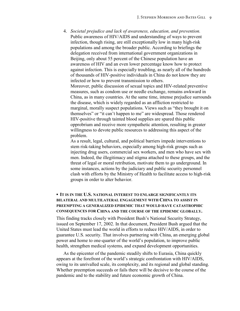4. *Societal prejudice and lack of awareness, education, and prevention.* Public awareness of HIV/AIDS and understanding of ways to prevent infection, though rising, are still exceptionally low in many high-risk populations and among the broader public. According to briefings the delegation received from international government organizations in Beijing, only about 55 percent of the Chinese population have an awareness of HIV and an even lower percentage know how to protect against infection. This is especially troubling, as nearly all of the hundreds of thousands of HIV-positive individuals in China do not know they are infected or how to prevent transmission to others.

Moreover, public discussion of sexual topics and HIV-related preventive measures, such as condom use or needle exchange, remains awkward in China, as in many countries. At the same time, intense prejudice surrounds the disease, which is widely regarded as an affliction restricted to marginal, morally suspect populations. Views such as "they brought it on themselves" or "it can't happen to me" are widespread. Those rendered HIV-positive through tainted blood supplies are spared this public opprobrium and receive more sympathetic attention, resulting in greater willingness to devote public resources to addressing this aspect of the problem.

As a result, legal, cultural, and political barriers impede interventions to stem risk-taking behaviors, especially among high-risk groups such as injecting drug users, commercial sex workers, and men who have sex with men. Indeed, the illegitimacy and stigma attached to these groups, and the threat of legal or moral retribution, motivate them to go underground. In some instances, actions by the judiciary and public security personnel clash with efforts by the Ministry of Health to facilitate access to high-risk groups in order to alter behavior.

#### **▪ IT IS IN THE U.S. NATIONAL INTEREST TO ENLARGE SIGNIFICANTLY ITS BILATERAL AND MULTILATERAL ENGAGEMENT WITH CHINA TO ASSIST IN PREEMPTING A GENERALIZED EPIDEMIC THAT WOULD HAVE CATASTROPHIC CONSEQUENCES FOR CHINA AND THE COURSE OF THE EPIDEMIC GLOBALLY.**

This finding tracks closely with President Bush's National Security Strategy, issued on September 17, 2002. In that document, President Bush argued that the United States must lead the world in efforts to reduce HIV/AIDS, in order to guarantee U.S. security. That involves partnering with China, an emerging global power and home to one-quarter of the world's population, to improve public health, strengthen medical systems, and expand development opportunities.

As the epicenter of the pandemic steadily shifts to Eurasia, China quickly appears at the forefront of the world's strategic confrontation with HIV/AIDS, owing to its unrivalled scale, its complexity, and its regional and global standing. Whether preemption succeeds or fails there will be decisive to the course of the pandemic and to the stability and future economic growth of China.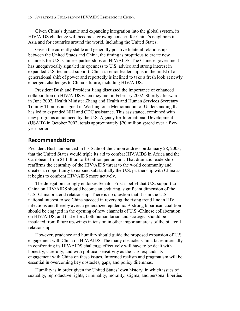Given China's dynamic and expanding integration into the global system, its HIV/AIDS challenge will become a growing concern for China's neighbors in Asia and for countries around the world, including the United States.

Given the currently stable and generally positive bilateral relationship between the United States and China, the timing is propitious to create new channels for U.S.-Chinese partnerships on HIV/AIDS. The Chinese government has unequivocally signaled its openness to U.S. advice and strong interest in expanded U.S. technical support. China's senior leadership is in the midst of a generational shift of power and reportedly is inclined to take a fresh look at newly emergent challenges to China's future, including HIV/AIDS.

President Bush and President Jiang discussed the importance of enhanced collaboration on HIV/AIDS when they met in February 2002. Shortly afterwards, in June 2002, Health Minister Zhang and Health and Human Services Secretary Tommy Thompson signed in Washington a Memorandum of Understanding that has led to expanded NIH and CDC assistance. This assistance, combined with new programs announced by the U.S. Agency for International Development (USAID) in October 2002, totals approximately \$20 million spread over a fiveyear period.

# **Recommendations**

President Bush announced in his State of the Union address on January 28, 2003, that the United States would triple its aid to combat HIV/AIDS in Africa and the Caribbean, from \$1 billion to \$3 billion per annum. That dramatic leadership reaffirms the centrality of the HIV/AIDS threat to the world community and creates an opportunity to expand substantially the U.S. partnership with China as it begins to confront HIV/AIDS more actively.

The delegation strongly endorses Senator Frist's belief that U.S. support to China on HIV/AIDS should become an enduring, significant dimension of the U.S.-China bilateral relationship. There is no question that it is in the U.S. national interest to see China succeed in reversing the rising trend line in HIV infections and thereby avert a generalized epidemic. A strong bipartisan coalition should be engaged in the opening of new channels of U.S.-Chinese collaboration on HIV/AIDS, and that effort, both humanitarian and strategic, should be insulated from future upswings in tension in other important areas of the bilateral relationship.

However, prudence and humility should guide the proposed expansion of U.S. engagement with China on HIV/AIDS. The many obstacles China faces internally in confronting its HIV/AIDS challenge effectively will have to be dealt with honestly, carefully, and with political sensitivity as the U.S. expands its engagement with China on these issues. Informed realism and pragmatism will be essential in overcoming key obstacles, gaps, and policy dilemmas.

Humility is in order given the United States' own history, in which issues of sexuality, reproductive rights, criminality, morality, stigma, and personal liberties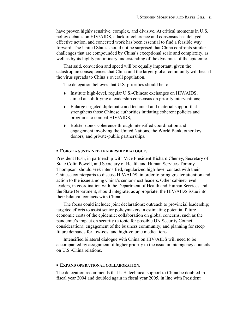have proven highly sensitive, complex, and divisive. At critical moments in U.S. policy debates on HIV/AIDS, a lack of coherence and consensus has delayed effective action, and concerted work has been essential to find a feasible way forward. The United States should not be surprised that China confronts similar challenges that are compounded by China's exceptional scale and complexity, as well as by its highly preliminary understanding of the dynamics of the epidemic.

That said, conviction and speed will be equally important, given the catastrophic consequences that China and the larger global community will bear if the virus spreads to China's overall population.

The delegation believes that U.S. priorities should be to:

- Institute high-level, regular U.S.-Chinese exchanges on HIV/AIDS, aimed at solidifying a leadership consensus on priority interventions;
- Enlarge targeted diplomatic and technical and material support that strengthens those Chinese authorities initiating coherent policies and programs to combat HIV/AIDS;
- Bolster donor coherence through intensified coordination and engagement involving the United Nations, the World Bank, other key donors, and private-public partnerships.

#### **▪ FORGE A SUSTAINED LEADERSHIP DIALOGUE.**

President Bush, in partnership with Vice President Richard Cheney, Secretary of State Colin Powell, and Secretary of Health and Human Services Tommy Thompson, should seek intensified, regularized high-level contact with their Chinese counterparts to discuss HIV/AIDS, in order to bring greater attention and action to the issue among China's senior-most leaders. Other cabinet-level leaders, in coordination with the Department of Health and Human Services and the State Department, should integrate, as appropriate, the HIV/AIDS issue into their bilateral contacts with China.

The focus could include: joint declarations; outreach to provincial leadership; targeted efforts to assist senior policymakers in estimating potential future economic costs of the epidemic; collaboration on global concerns, such as the pandemic's impact on security (a topic for possible UN Security Council consideration); engagement of the business community; and planning for steep future demands for low-cost and high-volume medications.

Intensified bilateral dialogue with China on HIV/AIDS will need to be accompanied by assignment of higher priority to the issue in interagency councils on U.S.-China relations.

#### **▪ EXPAND OPERATIONAL COLLABORATION.**

The delegation recommends that U.S. technical support to China be doubled in fiscal year 2004 and doubled again in fiscal year 2005, in line with President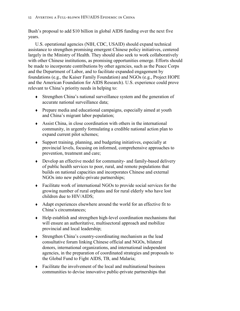Bush's proposal to add \$10 billion in global AIDS funding over the next five years.

 U.S. operational agencies (NIH, CDC, USAID) should expand technical assistance to strengthen promising emergent Chinese policy initiatives, centered largely in the Ministry of Health. They should also seek to work collaboratively with other Chinese institutions, as promising opportunities emerge. Efforts should be made to incorporate contributions by other agencies, such as the Peace Corps and the Department of Labor, and to facilitate expanded engagement by foundations (e.g., the Kaiser Family Foundation) and NGOs (e.g., Project HOPE and the American Foundation for AIDS Research). U.S. experience could prove relevant to China's priority needs in helping to:

- Strengthen China's national surveillance system and the generation of accurate national surveillance data;
- Prepare media and educational campaigns, especially aimed at youth and China's migrant labor population;
- Assist China, in close coordination with others in the international community, in urgently formulating a credible national action plan to expand current pilot schemes;
- Support training, planning, and budgeting initiatives, especially at provincial levels, focusing on informed, comprehensive approaches to prevention, treatment and care;
- Develop an effective model for community- and family-based delivery of public health services to poor, rural, and remote populations that builds on national capacities and incorporates Chinese and external NGOs into new public-private partnerships;
- Facilitate work of international NGOs to provide social services for the growing number of rural orphans and for rural elderly who have lost children due to HIV/AIDS;
- Adapt experiences elsewhere around the world for an effective fit to China's circumstances;
- Help establish and strengthen high-level coordination mechanisms that will ensure an authoritative, multisectoral approach and mobilize provincial and local leadership;
- Strengthen China's country-coordinating mechanism as the lead consultative forum linking Chinese official and NGOs, bilateral donors, international organizations, and international independent agencies, in the preparation of coordinated strategies and proposals to the Global Fund to Fight AIDS, TB, and Malaria;
- Facilitate the involvement of the local and multinational business communities to devise innovative public-private partnerships that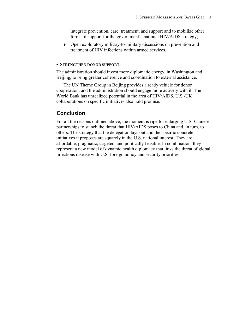integrate prevention, care, treatment, and support and to mobilize other forms of support for the government's national HIV/AIDS strategy;

 Open exploratory military-to-military discussions on prevention and treatment of HIV infections within armed services.

#### **▪ STRENGTHEN DONOR SUPPORT.**

The administration should invest more diplomatic energy, in Washington and Beijing, to bring greater coherence and coordination to external assistance.

The UN Theme Group in Beijing provides a ready vehicle for donor cooperation, and the administration should engage more actively with it. The World Bank has unrealized potential in the area of HIV/AIDS. U.S.-UK collaborations on specific initiatives also hold promise.

# **Conclusion**

For all the reasons outlined above, the moment is ripe for enlarging U.S.-Chinese partnerships to stanch the threat that HIV/AIDS poses to China and, in turn, to others. The strategy that the delegation lays out and the specific concrete initiatives it proposes are squarely in the U.S. national interest. They are affordable, pragmatic, targeted, and politically feasible. In combination, they represent a new model of dynamic health diplomacy that links the threat of global infectious disease with U.S. foreign policy and security priorities.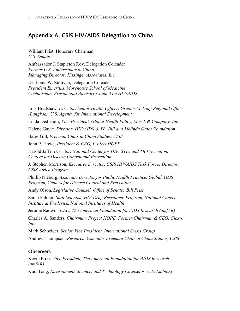# **Appendix A. CSIS HIV/AIDS Delegation to China**

William Frist, Honorary Chairman *U.S. Senate* 

Ambassador J. Stapleton Roy, Delegation Coleader *Former U.S. Ambassador to China Managing Director, Kissinger Associates, Inc.* 

Dr. Louis W. Sullivan, Delegation Coleader *President Emeritus, Morehouse School of Medicine Cochairman, Presidential Advisory Council on HIV/AIDS* 

Lois Bradshaw, *Director, Senior Health Officer, Greater Mekong Regional Office (Bangkok), U.S. Agency for International Development* Linda Distlerath, *Vice President, Global Health Policy, Merck & Company, Inc.*  Helene Gayle, *Director, HIV/AIDS & TB, Bill and Melinda Gates Foundation*  Bates Gill, *Freeman Chair in China Studies, CSIS*  John P. Howe, *President & CEO, Project HOPE* Harold Jaffe, *Director, National Center for HIV, STD, and TB Prevention, Centers for Disease Control and Prevention*  J. Stephen Morrison, *Executive Director, CSIS HIV/AIDS Task Force; Director, CSIS Africa Program*  Phillip Nieburg, *Associate Director for Public Health Practice, Global AIDS Program, Centers for Disease Control and Prevention*  Andy Olson, *Legislative Counsel, Office of Senator Bill Frist*  Sarah Palmer, *Staff Scientist, HIV Drug Resistance Program, National Cancer Institute at Frederick, National Institutes of Health*  Jerome Radwin, *CEO, The American Foundation for AIDS Research (amfAR)*  Charles A. Sanders, *Chairman, Project HOPE, Former Chairman & CEO, Glaxo, Inc.*  Mark Schneider, *Senior Vice President, International Crisis Group*  Andrew Thompson, *Research Associate, Freeman Chair in China Studies, CSIS* 

### **Observers**

Kevin Frost, *Vice President, The American Foundation for AIDS Research (amfAR)* 

Kurt Tong, *Environment, Science, and Technology Counselor, U.S. Embassy*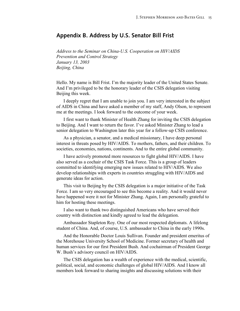# **Appendix B. Address by U.S. Senator Bill Frist**

*Address to the Seminar on China-U.S. Cooperation on HIV/AIDS Prevention and Control Strategy January 13, 2003 Beijing, China* 

Hello. My name is Bill Frist. I'm the majority leader of the United States Senate. And I'm privileged to be the honorary leader of the CSIS delegation visiting Beijing this week.

I deeply regret that I am unable to join you. I am very interested in the subject of AIDS in China and have asked a member of my staff, Andy Olson, to represent me at the meetings. I look forward to the outcome of your week.

I first want to thank Minister of Health Zhang for inviting the CSIS delegation to Beijing. And I want to return the favor. I've asked Minister Zhang to lead a senior delegation to Washington later this year for a follow-up CSIS conference.

As a physician, a senator, and a medical missionary, I have deep personal interest in threats posed by HIV/AIDS. To mothers, fathers, and their children. To societies, economies, nations, continents. And to the entire global community.

I have actively promoted more resources to fight global HIV/AIDS. I have also served as a cochair of the CSIS Task Force. This is a group of leaders committed to identifying emerging new issues related to HIV/AIDS. We also develop relationships with experts in countries struggling with HIV/AIDS and generate ideas for action.

This visit to Beijing by the CSIS delegation is a major initiative of the Task Force. I am so very encouraged to see this become a reality. And it would never have happened were it not for Minister Zhang. Again, I am personally grateful to him for hosting these meetings.

I also want to thank two distinguished Americans who have served their country with distinction and kindly agreed to lead the delegation.

Ambassador Stapleton Roy. One of our most respected diplomats. A lifelong student of China. And, of course, U.S. ambassador to China in the early 1990s.

And the Honorable Doctor Louis Sullivan. Founder and president emeritus of the Morehouse University School of Medicine. Former secretary of health and human services for our first President Bush. And cochairman of President George W. Bush's advisory council on HIV/AIDS.

The CSIS delegation has a wealth of experience with the medical, scientific, political, social, and economic challenges of global HIV/AIDS. And I know all members look forward to sharing insights and discussing solutions with their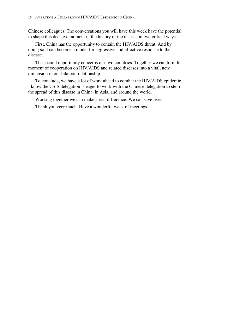Chinese colleagues. The conversations you will have this week have the potential to shape this decisive moment in the history of the disease in two critical ways.

First, China has the opportunity to contain the HIV/AIDS threat. And by doing so it can become a model for aggressive and effective response to the disease.

The second opportunity concerns our two countries. Together we can turn this moment of cooperation on HIV/AIDS and related diseases into a vital, new dimension in our bilateral relationship.

To conclude, we have a lot of work ahead to combat the HIV/AIDS epidemic. I know the CSIS delegation is eager to work with the Chinese delegation to stem the spread of this disease in China, in Asia, and around the world.

Working together we can make a real difference. We can save lives.

Thank you very much. Have a wonderful week of meetings.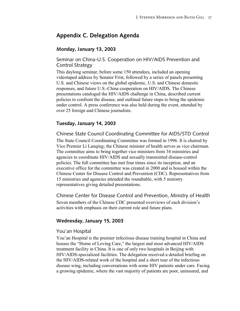# **Appendix C. Delegation Agenda**

#### **Monday, January 13, 2003**

Seminar on China-U.S. Cooperation on HIV/AIDS Prevention and Control Strategy

This daylong seminar, before some 150 attendees, included an opening videotaped address by Senator Frist, followed by a series of panels presenting U.S. and Chinese views on the global epidemic, U.S. and Chinese domestic responses, and future U.S.-China cooperation on HIV/AIDS. The Chinese presentations cataloged the HIV/AIDS challenge in China, described current policies to confront the disease, and outlined future steps to bring the epidemic under control. A press conference was also held during the event, attended by over 25 foreign and Chinese journalists.

#### **Tuesday, January 14, 2003**

Chinese State Council Coordinating Committee for AIDS/STD Control

The State Council Coordinating Committee was formed in 1996. It is chaired by Vice Premier Li Lanqing; the Chinese minister of health serves as vice chairman. The committee aims to bring together vice ministers from 34 ministries and agencies to coordinate HIV/AIDS and sexually transmitted disease-control policies. The full committee has met four times since its inception, and an executive office for the committee was created in 2000 and is housed within the Chinese Center for Disease Control and Prevention (CDC). Representatives from 15 ministries and agencies attended the roundtable, with 5 ministry representatives giving detailed presentations.

Chinese Center for Disease Control and Prevention, Ministry of Health Seven members of the Chinese CDC presented overviews of each division's activities with emphasis on their current role and future plans.

#### **Wednesday, January 15, 2003**

#### You'an Hospital

You'an Hospital is the premier infectious disease training hospital in China and houses the "Home of Loving Care," the largest and most advanced HIV/AIDS treatment facility in China. It is one of only two hospitals in Beijing with HIV/AIDS-specialized facilities. The delegation received a detailed briefing on the HIV/AIDS-related work of the hospital and a short tour of the infectious disease wing, including conversations with some HIV patients under care. Facing a growing epidemic, where the vast majority of patients are poor, uninsured, and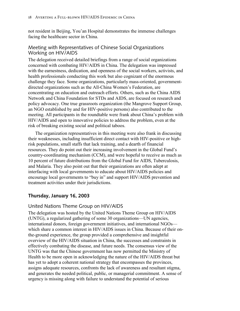not resident in Beijing, You'an Hospital demonstrates the immense challenges facing the healthcare sector in China.

#### Meeting with Representatives of Chinese Social Organizations Working on HIV/AIDS

The delegation received detailed briefings from a range of social organizations concerned with combating HIV/AIDS in China. The delegation was impressed with the earnestness, dedication, and openness of the social workers, activists, and health professionals conducting this work but also cognizant of the enormous challenge they face. Some organizations, particularly mass-oriented, governmentdirected organizations such as the All-China Women's Federation, are concentrating on education and outreach efforts. Others, such as the China AIDS Network and China Foundation for STDs and AIDS, are focused on research and policy advocacy. One true grassroots organization (the Mangrove Support Group, an NGO established by and for HIV-positive persons) also contributed to the meeting. All participants in the roundtable were frank about China's problem with HIV/AIDS and open to innovative policies to address the problem, even at the risk of breaking existing social and political taboos.

The organization representatives in this meeting were also frank in discussing their weaknesses, including insufficient direct contact with HIV-positive or highrisk populations, small staffs that lack training, and a dearth of financial resources. They do point out their increasing involvement in the Global Fund's country-coordinating mechanism (CCM), and were hopeful to receive as much as 10 percent of future distributions from the Global Fund for AIDS, Tuberculosis, and Malaria. They also point out that their organizations are often adept at interfacing with local governments to educate about HIV/AIDS policies and encourage local governments to "buy in" and support HIV/AIDS prevention and treatment activities under their jurisdictions.

### **Thursday, January 16, 2003**

#### United Nations Theme Group on HIV/AIDS

The delegation was hosted by the United Nations Theme Group on HIV/AIDS (UNTG), a regularized gathering of some 30 organizations—UN agencies, international donors, foreign government initiatives, and international NGOs which share a common interest in HIV/AIDS issues in China. Because of their onthe-ground experience, the group provided a comprehensive and insightful overview of the HIV/AIDS situation in China, the successes and constraints in effectively combating the disease, and future needs. The consensus view of the UNTG was that the Chinese government has now permitted the Ministry of Health to be more open in acknowledging the nature of the HIV/AIDS threat but has yet to adopt a coherent national strategy that encompasses the provinces, assigns adequate resources, confronts the lack of awareness and resultant stigma, and generates the needed political, public, or managerial commitment. A sense of urgency is missing along with failure to understand the potential of serious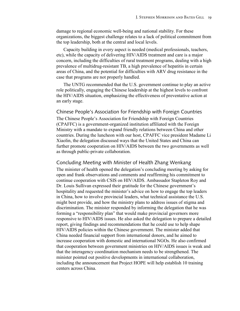damage to regional economic well-being and national stability. For these organizations, the biggest challenge relates to a lack of political commitment from the top leadership, both at the central and local levels.

Capacity building in every aspect is needed (medical professionals, teachers, etc), while the capacity of delivering HIV/AIDS treatment and care is a major concern, including the difficulties of rural treatment programs, dealing with a high prevalence of multidrug-resistant TB, a high prevalence of hepatitis in certain areas of China, and the potential for difficulties with ARV drug resistance in the case that programs are not properly handled.

The UNTG recommended that the U.S. government continue to play an active role politically, engaging the Chinese leadership at the highest levels to confront the HIV/AIDS situation, emphasizing the effectiveness of preventative action at an early stage.

Chinese People's Association for Friendship with Foreign Countries The Chinese People's Association for Friendship with Foreign Countries (CPAFFC) is a government-organized institution affiliated with the Foreign Ministry with a mandate to expand friendly relations between China and other countries. During the luncheon with our host, CPAFFC vice president Madame Li Xiaolin, the delegation discussed ways that the United States and China can further promote cooperation on HIV/AIDS between the two governments as well as through public-private collaboration.

#### Concluding Meeting with Minister of Health Zhang Wenkang

The minister of health opened the delegation's concluding meeting by asking for open and frank observations and comments and reaffirming his commitment to continue cooperation with CSIS on HIV/AIDS. Ambassador Stapleton Roy and Dr. Louis Sullivan expressed their gratitude for the Chinese government's hospitality and requested the minister's advice on how to engage the top leaders in China, how to involve provincial leaders, what technical assistance the U.S. might best provide, and how the ministry plans to address issues of stigma and discrimination. The minister responded by informing the delegation that he was forming a "responsibility plan" that would make provincial governors more responsive to HIV/AIDS issues. He also asked the delegation to prepare a detailed report, giving findings and recommendations that he could use to help shape HIV/AIDS policies within the Chinese government. The minister added that China needed financial support from international donors, and he aimed to increase cooperation with domestic and international NGOs. He also confirmed that cooperation between government ministries on HIV/AIDS issues is weak and that the interagency coordination mechanism needs to be strengthened. The minister pointed out positive developments in international collaboration, including the announcement that Project HOPE will help establish 10 training centers across China.